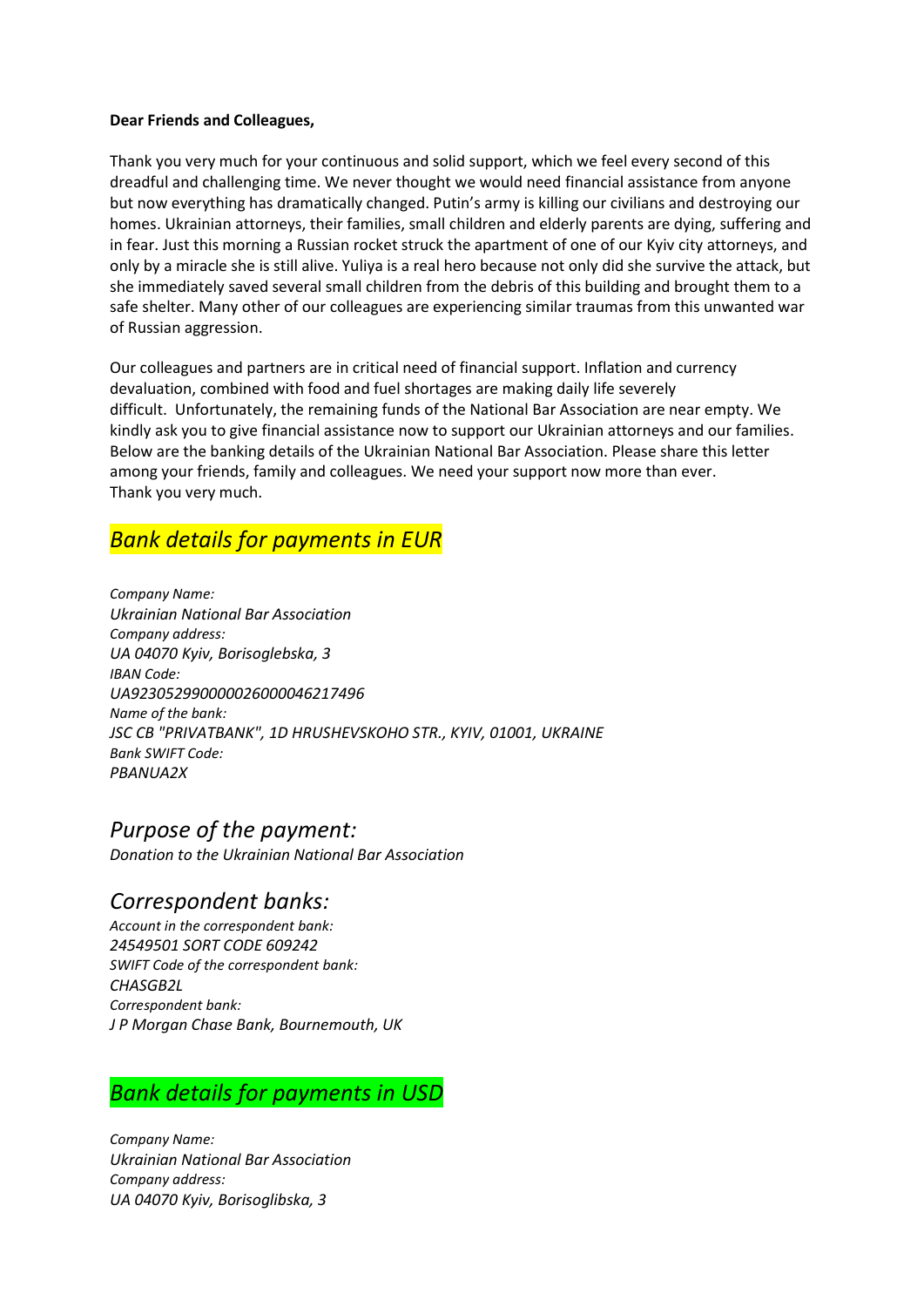#### Dear Friends and Colleagues,

Thank you very much for your continuous and solid support, which we feel every second of this dreadful and challenging time. We never thought we would need financial assistance from anyone but now everything has dramatically changed. Putin's army is killing our civilians and destroying our homes. Ukrainian attorneys, their families, small children and elderly parents are dying, suffering and in fear. Just this morning a Russian rocket struck the apartment of one of our Kyiv city attorneys, and only by a miracle she is still alive. Yuliya is a real hero because not only did she survive the attack, but she immediately saved several small children from the debris of this building and brought them to a safe shelter. Many other of our colleagues are experiencing similar traumas from this unwanted war of Russian aggression.

Our colleagues and partners are in critical need of financial support. Inflation and currency devaluation, combined with food and fuel shortages are making daily life severely difficult. Unfortunately, the remaining funds of the National Bar Association are near empty. We kindly ask you to give financial assistance now to support our Ukrainian attorneys and our families. Below are the banking details of the Ukrainian National Bar Association. Please share this letter among your friends, family and colleagues. We need your support now more than ever. Thank you very much.

# Bank details for payments in EUR

Сompany Name: Ukrainian National Bar Association Company address: UA 04070 Kyiv, Borisoglebska, 3 IBAN Code: UA923052990000026000046217496 Name of the bank: JSC CB "PRIVATBANK", 1D HRUSHEVSKOHO STR., KYIV, 01001, UKRAINE Bank SWIFT Code: PBANUA2X

### Purpose of the payment:

Donation to the Ukrainian National Bar Association

#### Correspondent banks:

Account in the correspondent bank: 24549501 SORT CODE 609242 SWIFT Code of the correspondent bank: CHASGB2L Correspondent bank: J P Morgan Chase Bank, Bournemouth, UK

# Bank details for payments in USD

Сompany Name: Ukrainian National Bar Association Company address: UA 04070 Kyiv, Borisoglibska, 3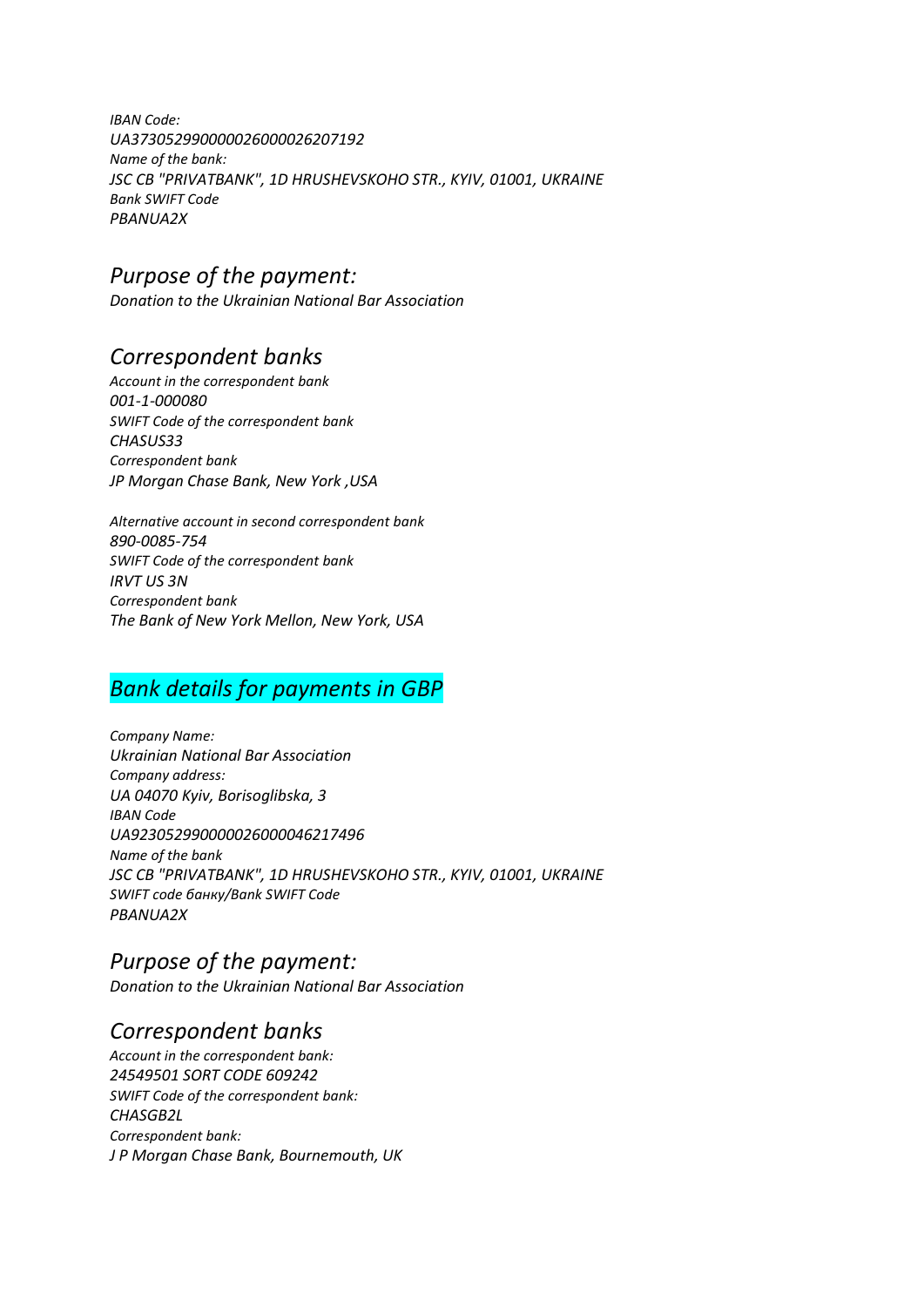IBAN Code: UA373052990000026000026207192 Name of the bank: JSC CB "PRIVATBANK", 1D HRUSHEVSKOHO STR., KYIV, 01001, UKRAINE Bank SWIFT Code PBANUA2X

# Purpose of the payment:

Donation to the Ukrainian National Bar Association

## Correspondent banks

Account in the correspondent bank 001-1-000080 SWIFT Code of the correspondent bank CHASUS33 Correspondent bank JP Morgan Chase Bank, New York ,USA

Alternative account in second correspondent bank 890-0085-754 SWIFT Code of the correspondent bank IRVT US 3N Correspondent bank The Bank of New York Mellon, New York, USA

# Bank details for payments in GBP

Сompany Name: Ukrainian National Bar Association Company address: UA 04070 Kyiv, Borisoglibska, 3 IBAN Code UA923052990000026000046217496 Name of the bank JSC CB "PRIVATBANK", 1D HRUSHEVSKOHO STR., KYIV, 01001, UKRAINE SWIFT code банку/Bank SWIFT Code PBANUA2X

# Purpose of the payment:

Donation to the Ukrainian National Bar Association

### Correspondent banks

Account in the correspondent bank: 24549501 SORT CODE 609242 SWIFT Code of the correspondent bank: CHASGB2L Correspondent bank: J P Morgan Chase Bank, Bournemouth, UK